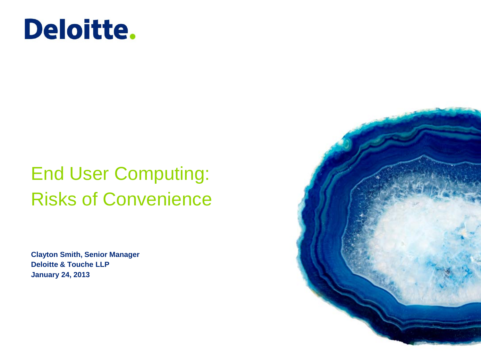

### End User Computing: Risks of Convenience

**Clayton Smith, Senior Manager Deloitte & Touche LLP January 24, 2013**

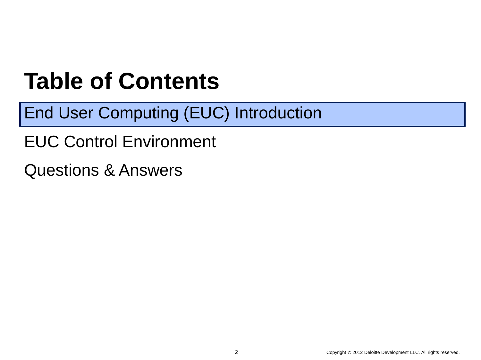## **Table of Contents**

End User Computing (EUC) Introduction

EUC Control Environment

Questions & Answers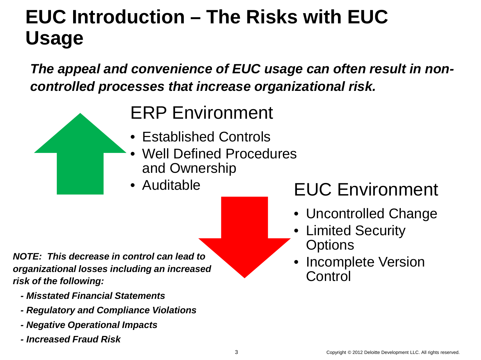### **EUC Introduction – The Risks with EUC Usage**

*The appeal and convenience of EUC usage can often result in noncontrolled processes that increase organizational risk.*

### ERP Environment

- Established Controls
- Well Defined Procedures and Ownership
- 

*NOTE: This decrease in control can lead to organizational losses including an increased risk of the following:*

- *- Misstated Financial Statements*
- *- Regulatory and Compliance Violations*
- *- Negative Operational Impacts*
- Copyright © 2009 Deloitte Development LLC. All rights reserved.  *- Increased Fraud Risk*

### • Auditable **EUC Environment**

- Uncontrolled Change
- Limited Security **Options**
- Incomplete Version Control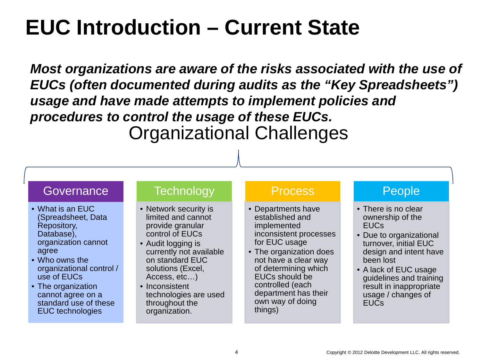### **EUC Introduction – Current State**

*Most organizations are aware of the risks associated with the use of EUCs (often documented during audits as the "Key Spreadsheets") usage and have made attempts to implement policies and procedures to control the usage of these EUCs.*  Organizational Challenges

#### **Governance**

- What is an EUC (Spreadsheet, Data Repository, Database), organization cannot agree
- Who owns the organizational control / use of EUCs
- The organization cannot agree on a standard use of these EUC technologies

#### **Technology**

- Network security is limited and cannot provide granular control of EUCs
- Audit logging is currently not available on standard EUC solutions (Excel, Access, etc…)
- Inconsistent technologies are used throughout the organization.

#### Process

- Departments have established and implemented inconsistent processes for EUC usage
- The organization does not have a clear way of determining which EUCs should be controlled (each department has their own way of doing things)

#### People

- There is no clear ownership of the EUCs
- Due to organizational turnover, initial EUC design and intent have been lost
- A lack of EUC usage guidelines and training result in inappropriate usage / changes of **FUCs**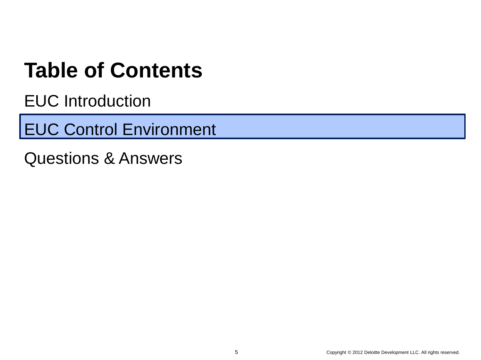### **Table of Contents**

EUC Introduction

EUC Control Environment

Questions & Answers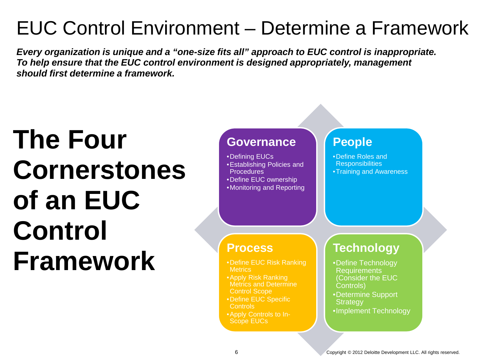### EUC Control Environment – Determine a Framework

*Every organization is unique and a "one-size fits all" approach to EUC control is inappropriate. To help ensure that the EUC control environment is designed appropriately, management should first determine a framework.*

# **The Four Cornerstones of an EUC Control Framework**

#### **Governance**

•Defining EUCs •Establishing Policies and **Procedures** •Define EUC ownership •Monitoring and Reporting

### **People**

•Define Roles and **Responsibilities** •Training and Awareness

#### **Process**

- •Define EUC Risk Ranking **Metrics**
- •Apply Risk Ranking Metrics and Determine Control Scope
- •Define EUC Specific Controls
- •Apply Controls to In-Scope EUCs

### **Technology**

- •Define Technology **Requirements** (Consider the EUC Controls)
- •Determine Support **Strategy**
- •Implement Technology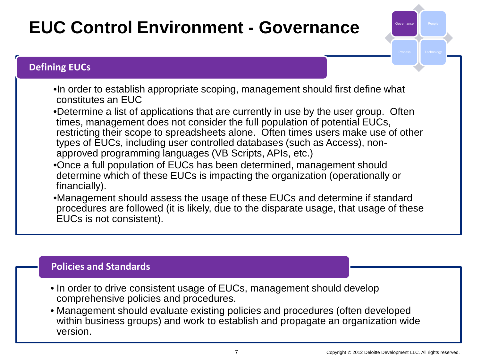### **EUC Control Environment - Governance**

•In order to establish appropriate scoping, management should first define what constitutes an EUC

•Determine a list of applications that are currently in use by the user group. Often times, management does not consider the full population of potential EUCs, restricting their scope to spreadsheets alone. Often times users make use of other types of EUCs, including user controlled databases (such as Access), nonapproved programming languages (VB Scripts, APIs, etc.)

- •Once a full population of EUCs has been determined, management should determine which of these EUCs is impacting the organization (operationally or financially).
- •Management should assess the usage of these EUCs and determine if standard procedures are followed (it is likely, due to the disparate usage, that usage of these EUCs is not consistent).

#### **Policies and Standards**

**Defining EUCs**

- In order to drive consistent usage of EUCs, management should develop comprehensive policies and procedures.
- Management should evaluate existing policies and procedures (often developed within business groups) and work to establish and propagate an organization wide version.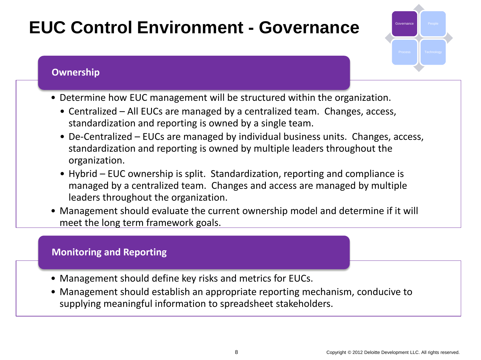### **EUC Control Environment - Governance**

#### **Ownership**

- Determine how EUC management will be structured within the organization.
	- Centralized All EUCs are managed by a centralized team. Changes, access, standardization and reporting is owned by a single team.
	- De-Centralized EUCs are managed by individual business units. Changes, access, standardization and reporting is owned by multiple leaders throughout the organization.
	- Hybrid EUC ownership is split. Standardization, reporting and compliance is managed by a centralized team. Changes and access are managed by multiple leaders throughout the organization.
- Management should evaluate the current ownership model and determine if it will meet the long term framework goals.

#### **Monitoring and Reporting**

- Management should define key risks and metrics for EUCs.
- Management should establish an appropriate reporting mechanism, conducive to supplying meaningful information to spreadsheet stakeholders.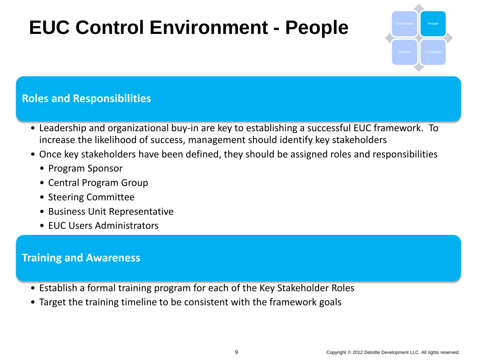### **EUC Control Environment - People**



#### **Roles and Responsibilities**

- Leadership and organizational buy-in are key to establishing a successful EUC framework. To increase the likelihood of success, management should identify key stakeholders
- Once key stakeholders have been defined, they should be assigned roles and responsibilities
	- Program Sponsor
	- Central Program Group
	- Steering Committee
	- Business Unit Representative
	- EUC Users Administrators

#### **Training and Awareness**

- Establish a formal training program for each of the Key Stakeholder Roles
- Target the training timeline to be consistent with the framework goals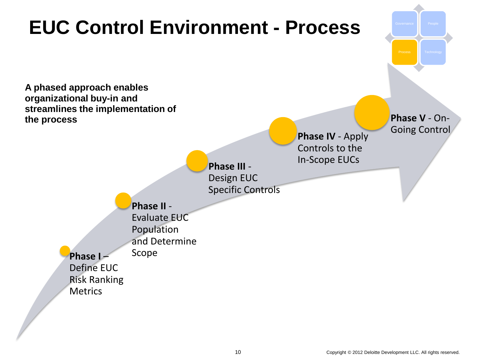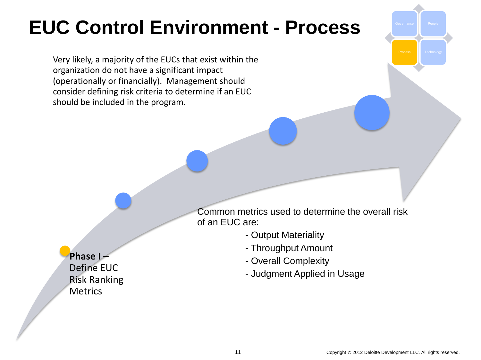Very likely, a majority of the EUCs that exist within the organization do not have a significant impact (operationally or financially). Management should consider defining risk criteria to determine if an EUC should be included in the program.

> Common metrics used to determine the overall risk of an EUC are:

- Output Materiality
- Throughput Amount
- Overall Complexity
- Judgment Applied in Usage

#### **Phase I** –

Define EUC Risk Ranking **Metrics**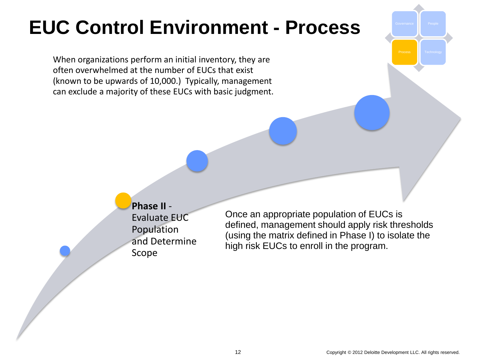When organizations perform an initial inventory, they are often overwhelmed at the number of EUCs that exist (known to be upwards of 10,000.) Typically, management can exclude a majority of these EUCs with basic judgment.

> **Phase II** - Evaluate EUC Population and Determine Scope

Once an appropriate population of EUCs is defined, management should apply risk thresholds (using the matrix defined in Phase I) to isolate the high risk EUCs to enroll in the program.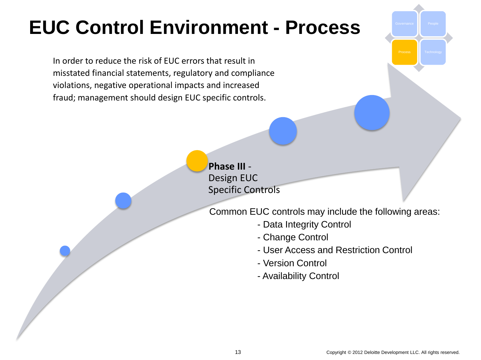In order to reduce the risk of EUC errors that result in misstated financial statements, regulatory and compliance violations, negative operational impacts and increased fraud; management should design EUC specific controls.

> **Phase III** - Design EUC Specific Controls

Common EUC controls may include the following areas:

- Data Integrity Control
- Change Control
- User Access and Restriction Control
- Version Control
- Availability Control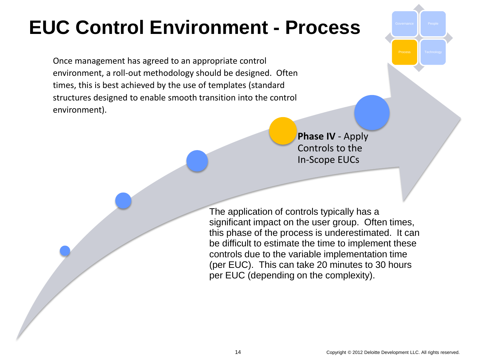Once management has agreed to an appropriate control environment, a roll-out methodology should be designed. Often times, this is best achieved by the use of templates (standard structures designed to enable smooth transition into the control environment).

> **Phase IV** - Apply Controls to the In-Scope EUCs

The application of controls typically has a significant impact on the user group. Often times, this phase of the process is underestimated. It can be difficult to estimate the time to implement these controls due to the variable implementation time (per EUC). This can take 20 minutes to 30 hours per EUC (depending on the complexity).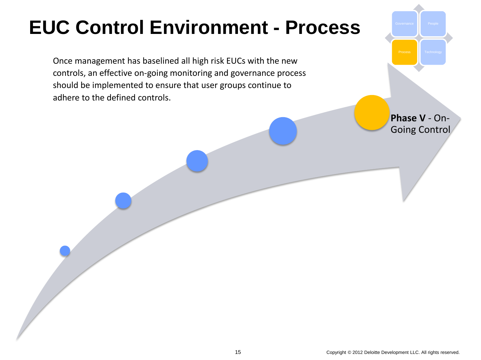Once management has baselined all high risk EUCs with the new controls, an effective on-going monitoring and governance process should be implemented to ensure that user groups continue to adhere to the defined controls.

> **Phase V** - On-Going Control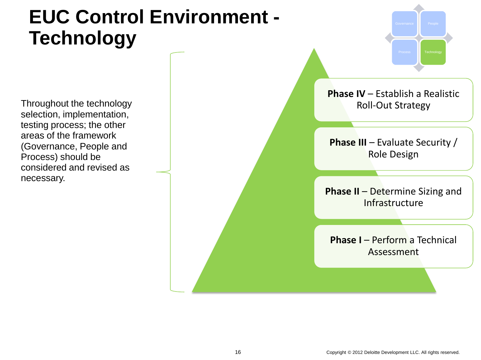Throughout the technology selection, implementation, testing process; the other areas of the framework (Governance, People and Process) should be considered and revised as necessary.



**Phase I – Perform a Technical** Assessment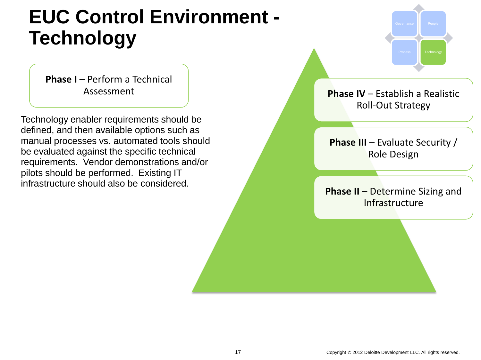**Phase I – Perform a Technical** Assessment

Technology enabler requirements should be defined, and then available options such as manual processes vs. automated tools should be evaluated against the specific technical requirements. Vendor demonstrations and/or pilots should be performed. Existing IT infrastructure should also be considered.

Governance **People** Process Technology

**Phase IV – Establish a Realistic** Roll-Out Strategy

**Phase III** – Evaluate Security / Role Design

**Phase II – Determine Sizing and** Infrastructure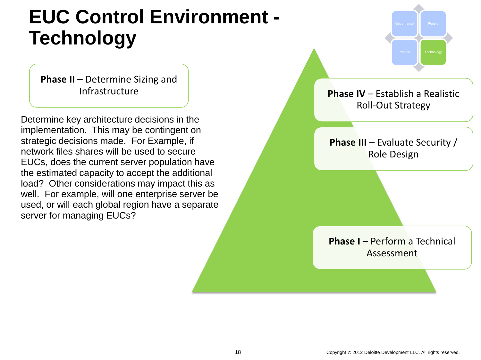**Phase II – Determine Sizing and** Infrastructure

Determine key architecture decisions in the implementation. This may be contingent on strategic decisions made. For Example, if network files shares will be used to secure EUCs, does the current server population have the estimated capacity to accept the additional load? Other considerations may impact this as well. For example, will one enterprise server be used, or will each global region have a separate server for managing EUCs?



Governance **People**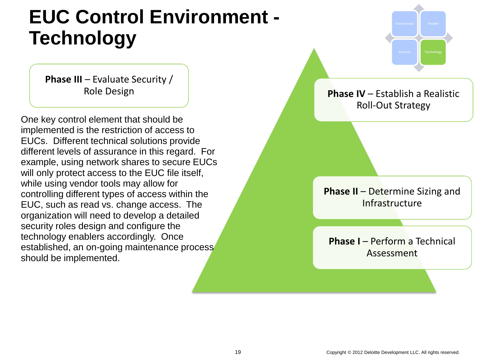**Phase III** – Evaluate Security / Role Design

One key control element that should be implemented is the restriction of access to EUCs. Different technical solutions provide different levels of assurance in this regard. For example, using network shares to secure EUCs will only protect access to the EUC file itself, while using vendor tools may allow for controlling different types of access within the EUC, such as read vs. change access. The organization will need to develop a detailed security roles design and configure the technology enablers accordingly. Once established, an on-going maintenance process should be implemented.

**Phase IV – Establish a Realistic** Roll-Out Strategy

Governance **People** 

Process Technology

**Phase II – Determine Sizing and Infrastructure** 

**Phase I – Perform a Technical** Assessment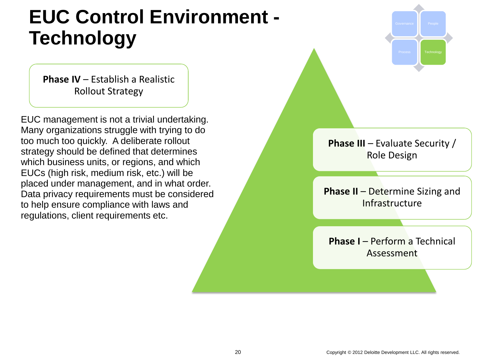**Phase IV – Establish a Realistic** Rollout Strategy

EUC management is not a trivial undertaking. Many organizations struggle with trying to do too much too quickly. A deliberate rollout strategy should be defined that determines which business units, or regions, and which EUCs (high risk, medium risk, etc.) will be placed under management, and in what order. Data privacy requirements must be considered to help ensure compliance with laws and regulations, client requirements etc.



**Phase III** – Evaluate Security / Role Design

**Phase II – Determine Sizing and Infrastructure** 

**Phase I – Perform a Technical** Assessment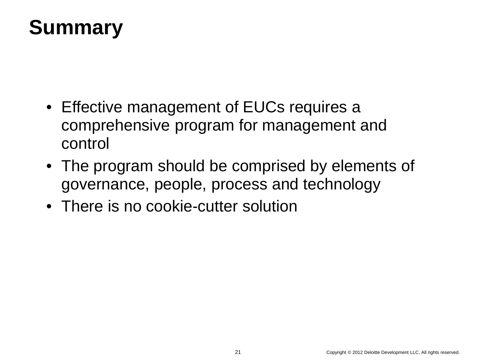### **Summary**

- Effective management of EUCs requires a comprehensive program for management and control
- The program should be comprised by elements of governance, people, process and technology
- There is no cookie-cutter solution